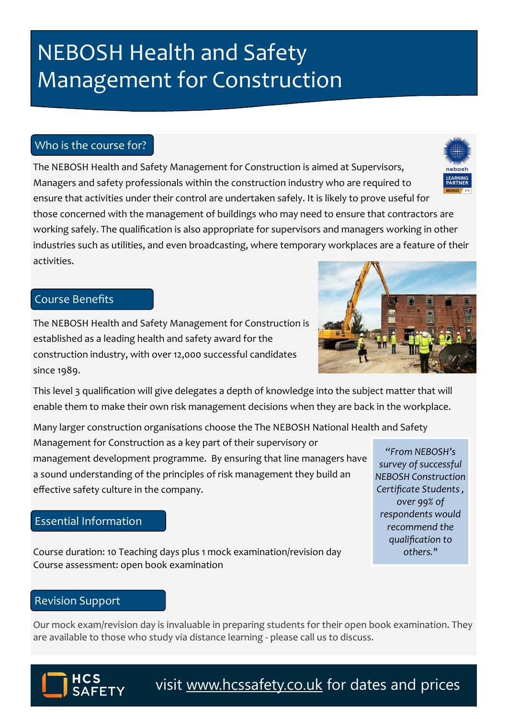# **NEBOSH Health and Safety** Management for Construction

### Who is the course for?

The NEBOSH Health and Safety Management for Construction is aimed at Supervisors, nebosh **LEARNING**<br>**PARTNER** Managers and safety professionals within the construction industry who are required to ensure that activities under their control are undertaken safely. It is likely to prove useful for those concerned with the management of buildings who may need to ensure that contractors are working safely. The qualification is also appropriate for supervisors and managers working in other industries such as utilities, and even broadcasting, where temporary workplaces are a feature of their activities.

## Course Benefits

The NEBOSH Health and Safety Management for Construction is established as a leading health and safety award for the construction industry, with over 12,000 successful candidates since 1989.

This level 3 qualification will give delegates a depth of knowledge into the subject matter that will enable them to make their own risk management decisions when they are back in the workplace.

Many larger construction organisations choose the The NEBOSH National Health and Safety Management for Construction as a key part of their supervisory or management development programme. By ensuring that line managers have a sound understanding of the principles of risk management they build an effective safety culture in the company. *"From NEBOSH's survey of successful NEBOSH Construction Certificate Students ,* 

#### Essential Information

Course duration: 10 Teaching days plus 1 mock examination/revision day Course assessment: open book examination

#### Revision Support

Our mock exam/revision day is invaluable in preparing students for their open book examination. They are available to those who study via distance learning - please call us to discuss.



*over 99% of respondents would* 







visit [www.hcssafety.co.uk](http://www.hcssafety.co.uk/training) for dates and prices